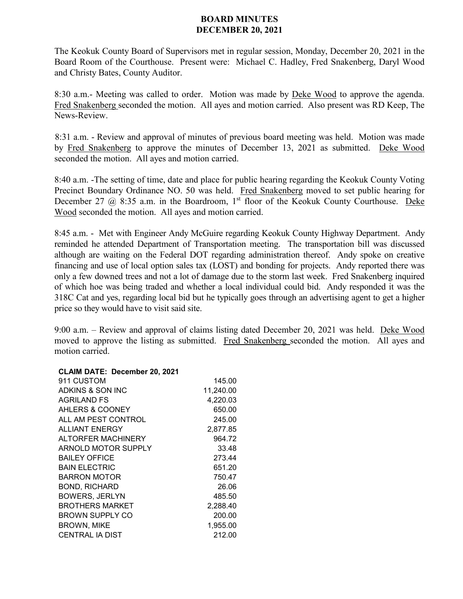## **BOARD MINUTES DECEMBER 20, 2021**

The Keokuk County Board of Supervisors met in regular session, Monday, December 20, 2021 in the Board Room of the Courthouse. Present were: Michael C. Hadley, Fred Snakenberg, Daryl Wood and Christy Bates, County Auditor.

8:30 a.m.- Meeting was called to order. Motion was made by Deke Wood to approve the agenda. Fred Snakenberg seconded the motion. All ayes and motion carried. Also present was RD Keep, The News-Review.

8:31 a.m. - Review and approval of minutes of previous board meeting was held. Motion was made by Fred Snakenberg to approve the minutes of December 13, 2021 as submitted. Deke Wood seconded the motion. All ayes and motion carried.

8:40 a.m. -The setting of time, date and place for public hearing regarding the Keokuk County Voting Precinct Boundary Ordinance NO. 50 was held. Fred Snakenberg moved to set public hearing for December 27  $\omega$  8:35 a.m. in the Boardroom, 1<sup>st</sup> floor of the Keokuk County Courthouse. Deke Wood seconded the motion. All ayes and motion carried.

8:45 a.m. - Met with Engineer Andy McGuire regarding Keokuk County Highway Department. Andy reminded he attended Department of Transportation meeting. The transportation bill was discussed although are waiting on the Federal DOT regarding administration thereof. Andy spoke on creative financing and use of local option sales tax (LOST) and bonding for projects. Andy reported there was only a few downed trees and not a lot of damage due to the storm last week. Fred Snakenberg inquired of which hoe was being traded and whether a local individual could bid. Andy responded it was the 318C Cat and yes, regarding local bid but he typically goes through an advertising agent to get a higher price so they would have to visit said site.

9:00 a.m. – Review and approval of claims listing dated December 20, 2021 was held. Deke Wood moved to approve the listing as submitted. Fred Snakenberg seconded the motion. All ayes and motion carried.

## **CLAIM DATE: December 20, 2021**

| 911 CUSTOM                | 145.00    |
|---------------------------|-----------|
| ADKINS & SON INC          | 11,240.00 |
| <b>AGRILAND FS</b>        | 4,220.03  |
| AHLERS & COONEY           | 650.00    |
| ALL AM PEST CONTROL       | 245.00    |
| <b>ALLIANT ENERGY</b>     | 2,877.85  |
| <b>ALTORFER MACHINERY</b> | 964.72    |
| ARNOLD MOTOR SUPPLY       | 33.48     |
| <b>BAILEY OFFICE</b>      | 273.44    |
| <b>BAIN ELECTRIC</b>      | 651.20    |
| BARRON MOTOR              | 750.47    |
| <b>BOND, RICHARD</b>      | 26.06     |
| <b>BOWERS, JERLYN</b>     | 485.50    |
| BROTHERS MARKET           | 2,288.40  |
| BROWN SUPPLY CO           | 200.00    |
| <b>BROWN, MIKE</b>        | 1,955.00  |
| CENTRAL IA DIST           | 212.00    |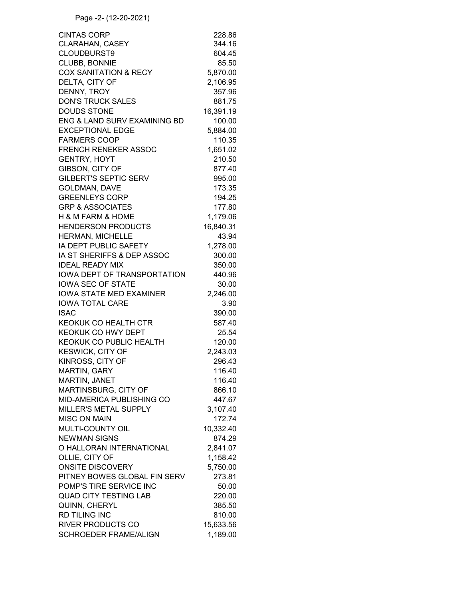| <b>CINTAS CORP</b>               | 228.86    |
|----------------------------------|-----------|
| <b>CLARAHAN, CASEY</b>           | 344.16    |
| <b>CLOUDBURST9</b>               | 604.45    |
| CLUBB, BONNIE                    | 85.50     |
| <b>COX SANITATION &amp; RECY</b> | 5,870.00  |
| DELTA, CITY OF                   | 2,106.95  |
| DENNY, TROY                      | 357.96    |
| <b>DON'S TRUCK SALES</b>         | 881.75    |
| <b>DOUDS STONE</b>               | 16,391.19 |
| ENG & LAND SURV EXAMINING BD     | 100.00    |
| <b>EXCEPTIONAL EDGE</b>          | 5,884.00  |
| <b>FARMERS COOP</b>              | 110.35    |
| <b>FRENCH RENEKER ASSOC</b>      | 1,651.02  |
| <b>GENTRY, HOYT</b>              | 210.50    |
| GIBSON, CITY OF                  | 877.40    |
| <b>GILBERT'S SEPTIC SERV</b>     | 995.00    |
| <b>GOLDMAN, DAVE</b>             | 173.35    |
| <b>GREENLEYS CORP</b>            | 194.25    |
| <b>GRP &amp; ASSOCIATES</b>      | 177.80    |
| H & M FARM & HOME                | 1,179.06  |
| <b>HENDERSON PRODUCTS</b>        | 16,840.31 |
| <b>HERMAN, MICHELLE</b>          | 43.94     |
| IA DEPT PUBLIC SAFETY            | 1,278.00  |
| IA ST SHERIFFS & DEP ASSOC       | 300.00    |
| <b>IDEAL READY MIX</b>           | 350.00    |
| IOWA DEPT OF TRANSPORTATION      | 440.96    |
| <b>IOWA SEC OF STATE</b>         | 30.00     |
| <b>IOWA STATE MED EXAMINER</b>   | 2,246.00  |
| <b>IOWA TOTAL CARE</b>           | 3.90      |
| <b>ISAC</b>                      | 390.00    |
| KEOKUK CO HEALTH CTR             | 587.40    |
| KEOKUK CO HWY DEPT               | 25.54     |
| KEOKUK CO PUBLIC HEALTH          | 120.00    |
| <b>KESWICK, CITY OF</b>          | 2,243.03  |
| KINROSS, CITY OF                 | 296.43    |
| MARTIN, GARY                     | 116.40    |
| MARTIN, JANET                    | 116.40    |
| MARTINSBURG, CITY OF             | 866.10    |
| MID-AMERICA PUBLISHING CO        | 447.67    |
| MILLER'S METAL SUPPLY            | 3,107.40  |
| <b>MISC ON MAIN</b>              | 172.74    |
| <b>MULTI-COUNTY OIL</b>          | 10,332.40 |
| <b>NEWMAN SIGNS</b>              | 874.29    |
| O HALLORAN INTERNATIONAL         | 2,841.07  |
| OLLIE, CITY OF                   | 1,158.42  |
| <b>ONSITE DISCOVERY</b>          | 5,750.00  |
| PITNEY BOWES GLOBAL FIN SERV     | 273.81    |
| POMP'S TIRE SERVICE INC          | 50.00     |
| <b>QUAD CITY TESTING LAB</b>     | 220.00    |
| QUINN, CHERYL                    | 385.50    |
| <b>RD TILING INC</b>             | 810.00    |
| <b>RIVER PRODUCTS CO</b>         | 15,633.56 |
| <b>SCHROEDER FRAME/ALIGN</b>     | 1,189.00  |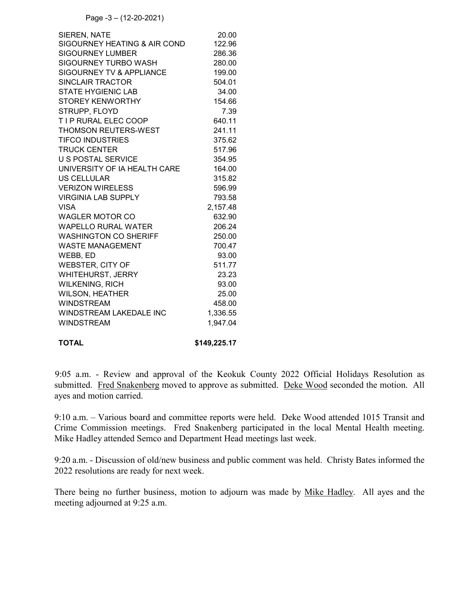Page -3 – (12-20-2021)

| <b>SIEREN, NATE</b>          | 20.00    |
|------------------------------|----------|
| SIGOURNEY HEATING & AIR COND | 122.96   |
| <b>SIGOURNEY LUMBER</b>      | 286.36   |
| SIGOURNEY TURBO WASH         | 280.00   |
| SIGOURNEY TV & APPLIANCE     | 199.00   |
| <b>SINCLAIR TRACTOR</b>      | 504.01   |
| <b>STATE HYGIENIC LAB</b>    | 34.00    |
| <b>STOREY KENWORTHY</b>      | 154.66   |
| STRUPP, FLOYD                | 7.39     |
| <b>TIP RURAL ELEC COOP</b>   | 640.11   |
| <b>THOMSON REUTERS-WEST</b>  | 241.11   |
| <b>TIFCO INDUSTRIES</b>      | 375.62   |
| <b>TRUCK CENTER</b>          | 517.96   |
| <b>U S POSTAL SERVICE</b>    | 354.95   |
| UNIVERSITY OF IA HEALTH CARE | 164.00   |
| <b>US CELLULAR</b>           | 315.82   |
| <b>VERIZON WIRELESS</b>      | 596.99   |
| <b>VIRGINIA LAB SUPPLY</b>   | 793.58   |
| <b>VISA</b>                  | 2,157.48 |
| <b>WAGLER MOTOR CO</b>       | 632.90   |
| <b>WAPELLO RURAL WATER</b>   | 206.24   |
| <b>WASHINGTON CO SHERIFF</b> | 250.00   |
| <b>WASTE MANAGEMENT</b>      | 700.47   |
| WEBB, ED                     | 93.00    |
| <b>WEBSTER, CITY OF</b>      | 511.77   |
| WHITEHURST, JERRY            | 23.23    |
| <b>WILKENING, RICH</b>       | 93.00    |
| <b>WILSON, HEATHER</b>       | 25.00    |
| <b>WINDSTREAM</b>            | 458.00   |
| WINDSTREAM LAKEDALE INC      | 1,336.55 |
| <b>WINDSTREAM</b>            | 1,947.04 |
|                              |          |
|                              |          |

**TOTAL \$149,225.17** 

9:05 a.m. - Review and approval of the Keokuk County 2022 Official Holidays Resolution as submitted. Fred Snakenberg moved to approve as submitted. Deke Wood seconded the motion. All ayes and motion carried.

9:10 a.m. – Various board and committee reports were held. Deke Wood attended 1015 Transit and Crime Commission meetings. Fred Snakenberg participated in the local Mental Health meeting. Mike Hadley attended Semco and Department Head meetings last week.

9:20 a.m. - Discussion of old/new business and public comment was held. Christy Bates informed the 2022 resolutions are ready for next week.

There being no further business, motion to adjourn was made by Mike Hadley. All ayes and the meeting adjourned at 9:25 a.m.